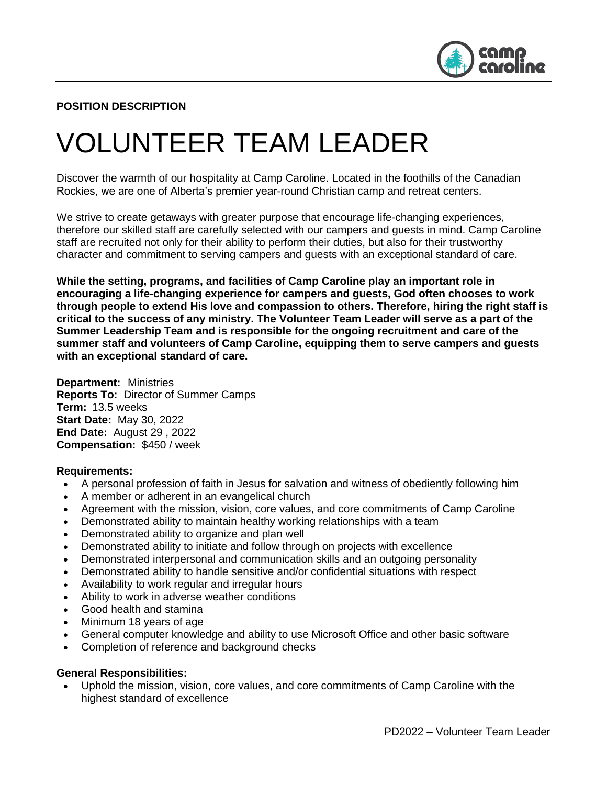

### **POSITION DESCRIPTION**

# VOLUNTEER TEAM LEADER

Discover the warmth of our hospitality at Camp Caroline. Located in the foothills of the Canadian Rockies, we are one of Alberta's premier year-round Christian camp and retreat centers.

We strive to create getaways with greater purpose that encourage life-changing experiences, therefore our skilled staff are carefully selected with our campers and guests in mind. Camp Caroline staff are recruited not only for their ability to perform their duties, but also for their trustworthy character and commitment to serving campers and guests with an exceptional standard of care.

**While the setting, programs, and facilities of Camp Caroline play an important role in encouraging a life-changing experience for campers and guests, God often chooses to work through people to extend His love and compassion to others. Therefore, hiring the right staff is critical to the success of any ministry. The Volunteer Team Leader will serve as a part of the Summer Leadership Team and is responsible for the ongoing recruitment and care of the summer staff and volunteers of Camp Caroline, equipping them to serve campers and guests with an exceptional standard of care.** 

**Department:** Ministries **Reports To:** Director of Summer Camps **Term:** 13.5 weeks **Start Date:** May 30, 2022 **End Date:** August 29 , 2022 **Compensation:** \$450 / week

#### **Requirements:**

- A personal profession of faith in Jesus for salvation and witness of obediently following him
- A member or adherent in an evangelical church
- Agreement with the mission, vision, core values, and core commitments of Camp Caroline
- Demonstrated ability to maintain healthy working relationships with a team
- Demonstrated ability to organize and plan well
- Demonstrated ability to initiate and follow through on projects with excellence
- Demonstrated interpersonal and communication skills and an outgoing personality
- Demonstrated ability to handle sensitive and/or confidential situations with respect
- Availability to work regular and irregular hours
- Ability to work in adverse weather conditions
- Good health and stamina
- Minimum 18 years of age
- General computer knowledge and ability to use Microsoft Office and other basic software
- Completion of reference and background checks

#### **General Responsibilities:**

• Uphold the mission, vision, core values, and core commitments of Camp Caroline with the highest standard of excellence